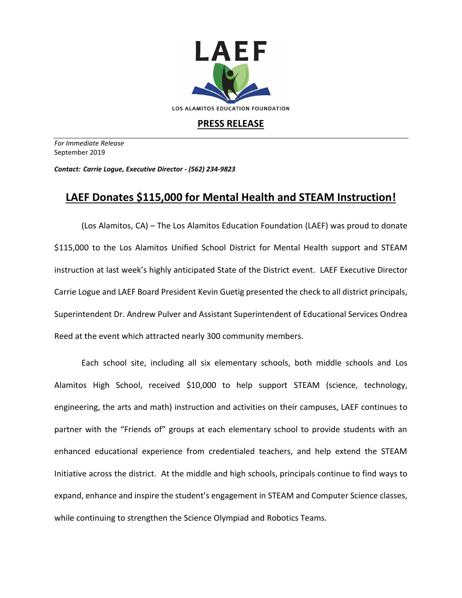

## **PRESS RELEASE**

*For Immediate Release*  September 2019

*Contact: Carrie Logue, Executive Director - (562) 234-9823*

## **LAEF Donates \$115,000 for Mental Health and STEAM Instruction!**

(Los Alamitos, CA) – The Los Alamitos Education Foundation (LAEF) was proud to donate \$115,000 to the Los Alamitos Unified School District for Mental Health support and STEAM instruction at last week's highly anticipated State of the District event. LAEF Executive Director Carrie Logue and LAEF Board President Kevin Guetig presented the check to all district principals, Superintendent Dr. Andrew Pulver and Assistant Superintendent of Educational Services Ondrea Reed at the event which attracted nearly 300 community members.

Each school site, including all six elementary schools, both middle schools and Los Alamitos High School, received \$10,000 to help support STEAM (science, technology, engineering, the arts and math) instruction and activities on their campuses, LAEF continues to partner with the "Friends of" groups at each elementary school to provide students with an enhanced educational experience from credentialed teachers, and help extend the STEAM Initiative across the district. At the middle and high schools, principals continue to find ways to expand, enhance and inspire the student's engagement in STEAM and Computer Science classes, while continuing to strengthen the Science Olympiad and Robotics Teams.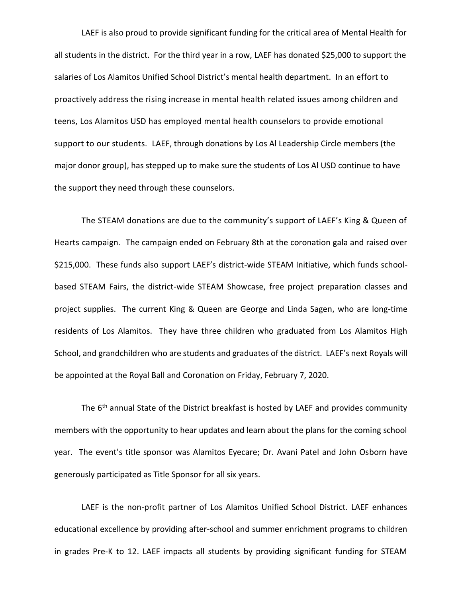LAEF is also proud to provide significant funding for the critical area of Mental Health for all students in the district. For the third year in a row, LAEF has donated \$25,000 to support the salaries of Los Alamitos Unified School District's mental health department. In an effort to proactively address the rising increase in mental health related issues among children and teens, Los Alamitos USD has employed mental health counselors to provide emotional support to our students. LAEF, through donations by Los Al Leadership Circle members (the major donor group), has stepped up to make sure the students of Los Al USD continue to have the support they need through these counselors.

The STEAM donations are due to the community's support of LAEF's King & Queen of Hearts campaign. The campaign ended on February 8th at the coronation gala and raised over \$215,000. These funds also support LAEF's district-wide STEAM Initiative, which funds schoolbased STEAM Fairs, the district-wide STEAM Showcase, free project preparation classes and project supplies. The current King & Queen are George and Linda Sagen, who are long-time residents of Los Alamitos. They have three children who graduated from Los Alamitos High School, and grandchildren who are students and graduates of the district. LAEF's next Royals will be appointed at the Royal Ball and Coronation on Friday, February 7, 2020.

The 6<sup>th</sup> annual State of the District breakfast is hosted by LAEF and provides community members with the opportunity to hear updates and learn about the plans for the coming school year. The event's title sponsor was Alamitos Eyecare; Dr. Avani Patel and John Osborn have generously participated as Title Sponsor for all six years.

LAEF is the non-profit partner of Los Alamitos Unified School District. LAEF enhances educational excellence by providing after-school and summer enrichment programs to children in grades Pre-K to 12. LAEF impacts all students by providing significant funding for STEAM